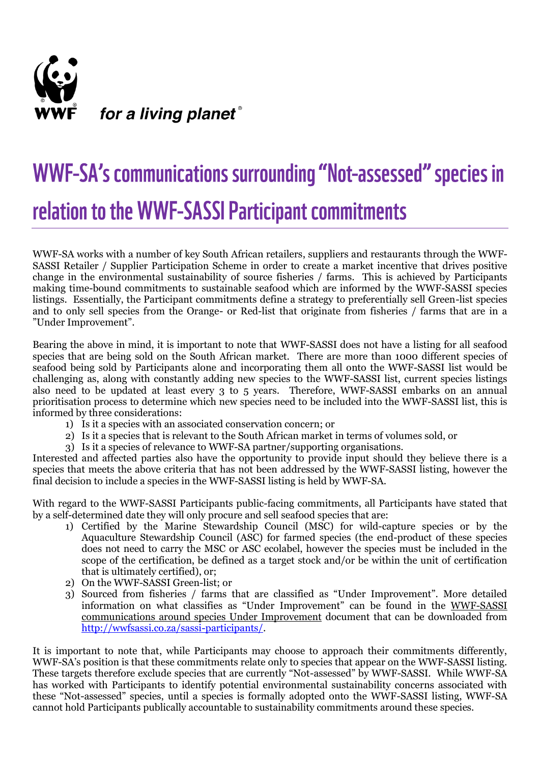

## WWF-SA's communications surrounding "Not-assessed" species in relation to the WWF-SASSI Participant commitments

WWF-SA works with a number of key South African retailers, suppliers and restaurants through the WWF-SASSI Retailer / Supplier Participation Scheme in order to create a market incentive that drives positive change in the environmental sustainability of source fisheries / farms. This is achieved by Participants making time-bound commitments to sustainable seafood which are informed by the WWF-SASSI species listings. Essentially, the Participant commitments define a strategy to preferentially sell Green-list species and to only sell species from the Orange- or Red-list that originate from fisheries / farms that are in a "Under Improvement".

Bearing the above in mind, it is important to note that WWF-SASSI does not have a listing for all seafood species that are being sold on the South African market. There are more than 1000 different species of seafood being sold by Participants alone and incorporating them all onto the WWF-SASSI list would be challenging as, along with constantly adding new species to the WWF-SASSI list, current species listings also need to be updated at least every 3 to 5 years. Therefore, WWF-SASSI embarks on an annual prioritisation process to determine which new species need to be included into the WWF-SASSI list, this is informed by three considerations:

- 1) Is it a species with an associated conservation concern; or
- 2) Is it a species that is relevant to the South African market in terms of volumes sold, or
- 3) Is it a species of relevance to WWF-SA partner/supporting organisations.

Interested and affected parties also have the opportunity to provide input should they believe there is a species that meets the above criteria that has not been addressed by the WWF-SASSI listing, however the final decision to include a species in the WWF-SASSI listing is held by WWF-SA.

With regard to the WWF-SASSI Participants public-facing commitments, all Participants have stated that by a self-determined date they will only procure and sell seafood species that are:

- 1) Certified by the Marine Stewardship Council (MSC) for wild-capture species or by the Aquaculture Stewardship Council (ASC) for farmed species (the end-product of these species does not need to carry the MSC or ASC ecolabel, however the species must be included in the scope of the certification, be defined as a target stock and/or be within the unit of certification that is ultimately certified), or;
- 2) On the WWF-SASSI Green-list; or
- 3) Sourced from fisheries / farms that are classified as "Under Improvement". More detailed information on what classifies as "Under Improvement" can be found in the WWF-SASSI communications around species Under Improvement document that can be downloaded from [http://wwfsassi.co.za/sassi-participants/.](http://wwfsassi.co.za/sassi-participants/)

It is important to note that, while Participants may choose to approach their commitments differently, WWF-SA's position is that these commitments relate only to species that appear on the WWF-SASSI listing. These targets therefore exclude species that are currently "Not-assessed" by WWF-SASSI. While WWF-SA has worked with Participants to identify potential environmental sustainability concerns associated with these "Not-assessed" species, until a species is formally adopted onto the WWF-SASSI listing, WWF-SA cannot hold Participants publically accountable to sustainability commitments around these species.